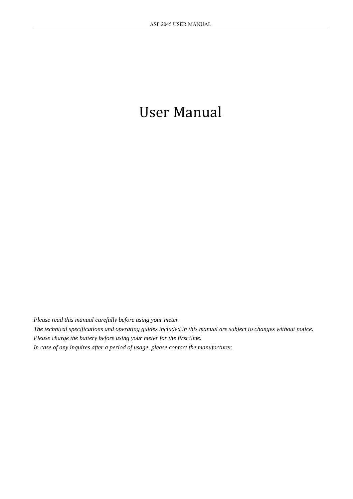*Please read this manual carefully before using your meter.* 

*The technical specifications and operating guides included in this manual are subject to changes without notice. Please charge the battery before using your meter for the first time.* 

*In case of any inquires after a period of usage, please contact the manufacturer.*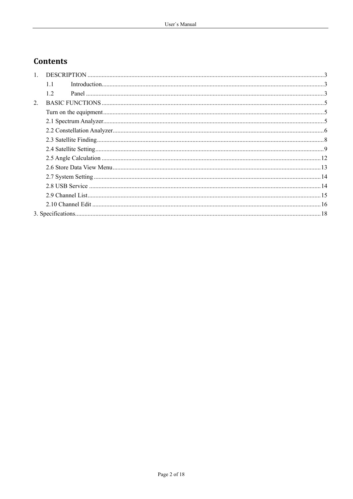# **Contents**

| 1.  |  |
|-----|--|
| 1.1 |  |
| 12  |  |
|     |  |
|     |  |
|     |  |
|     |  |
|     |  |
|     |  |
|     |  |
|     |  |
|     |  |
|     |  |
|     |  |
|     |  |
|     |  |
|     |  |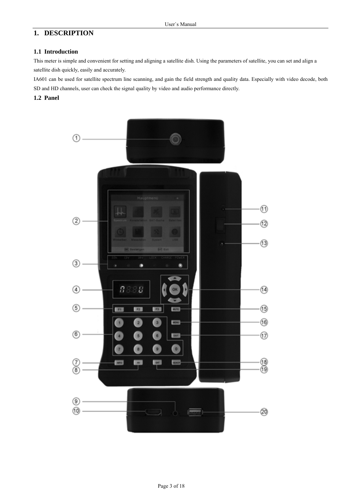# **1. DESCRIPTION**

# **1.1 Introduction**

This meter is simple and convenient for setting and aligning a satellite dish. Using the parameters of satellite, you can set and align a satellite dish quickly, easily and accurately.

IA601 can be used for satellite spectrum line scanning, and gain the field strength and quality data. Especially with video decode, both SD and HD channels, user can check the signal quality by video and audio performance directly.

#### **1.2 Panel**

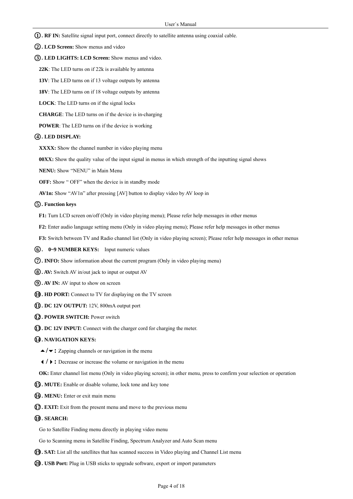- ○**1 . RF IN:** Satellite signal input port, connect directly to satellite antenna using coaxial cable.
- ○**2 . LCD Screen:** Show menus and video
- **3. LED LIGHTS: LCD Screen:** Show menus and video.
	- **22K**: The LED turns on if 22k is available by antenna
	- **13V**: The LED turns on if 13 voltage outputs by antenna
	- **18V**: The LED turns on if 18 voltage outputs by antenna
	- **LOCK**: The LED turns on if the signal locks
	- **CHARGE**: The LED turns on if the device is in-charging
	- **POWER**: The LED turns on if the device is working

#### ○**4 . LED DISPLAY:**

- **XXXX:** Show the channel number in video playing menu
- **00XX:** Show the quality value of the input signal in menus in which strength of the inputting signal shows
- **NENU:** Show "NENU" in Main Menu
- **OFF:** Show " OFF" when the device is in standby mode
- **AV1n:** Show "AV1n" after pressing [AV] button to display video by AV loop in

#### ○**5 . Function keys**

- **F1:** Turn LCD screen on/off (Only in video playing menu); Please refer help messages in other menus
- **F2:** Enter audio language setting menu (Only in video playing menu); Please refer help messages in other menus
- **F3:** Switch between TV and Radio channel list (Only in video playing screen); Please refer help messages in other menus
- ○**6 . 0~9 NUMBER KEYS:** Input numeric values
- ○**7 . INFO:** Show information about the current program (Only in video playing menu)
- ○**8 . AV:** Switch AV in/out jack to input or output AV
- ○**9 . AV IN:** AV input to show on screen
- ○**10 . HD PORT:** Connect to TV for displaying on the TV screen
- ○**11 . DC 12V OUTPUT:** 12V, 800mA output port
- ○**12 . POWER SWITCH:** Power switch
- ○**13 . DC 12V INPUT:** Connect with the charger cord for charging the meter.

#### ○**14 . NAVIGATION KEYS:**

- **/:** Zapping channels or navigation in the menu
- **/:** Decrease or increase the volume or navigation in the menu
- **OK:** Enter channel list menu (Only in video playing screen); in other menu, press to confirm your selection or operation
- ○**15 . MUTE:** Enable or disable volume, lock tone and key tone
- ○**16 . MENU:** Enter or exit main menu
- ○**17 . EXIT:** Exit from the present menu and move to the previous menu

#### ○**18 . SEARCH:**

Go to Satellite Finding menu directly in playing video menu

Go to Scanning menu in Satellite Finding, Spectrum Analyzer and Auto Scan menu

- **19. SAT:** List all the satellites that has scanned success in Video playing and Channel List menu
- ○**20 . USB Port:** Plug in USB sticks to upgrade software, export or import parameters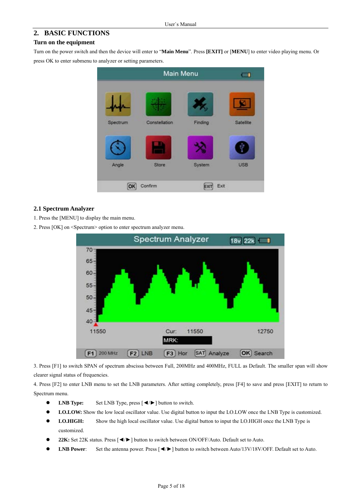# **2. BASIC FUNCTIONS**

#### **Turn on the equipment**

Turn on the power switch and then the device will enter to "**Main Menu**". Press **[EXIT]** or [**MENU**] to enter video playing menu. Or press OK to enter submenu to analyzer or setting parameters.



## **2.1 Spectrum Analyzer**

- 1. Press the [MENU] to display the main menu.
- 2. Press [OK] on <Spectrum> option to enter spectrum analyzer menu.



3. Press [F1] to switch SPAN of spectrum abscissa between Full, 200MHz and 400MHz, FULL as Default. The smaller span will show clearer signal status of frequencies.

4. Press [F2] to enter LNB menu to set the LNB parameters. After setting completely, press [F4] to save and press [EXIT] to return to Spectrum menu.

- z **LNB Type:** Set LNB Type, press [◄/►] button to switch.
- **LO.LOW:** Show the low local oscillator value. Use digital button to input the LO.LOW once the LNB Type is customized.
- **LO.HIGH:** Show the high local oscillator value. Use digital button to input the LO.HIGH once the LNB Type is customized.
- z **22K:** Set 22K status. Press [◄/►] button to switch between ON/OFF/Auto. Default set to Auto.
- **LNB Power**: Set the antenna power. Press [◀/►] button to switch between Auto/13V/18V/OFF. Default set to Auto.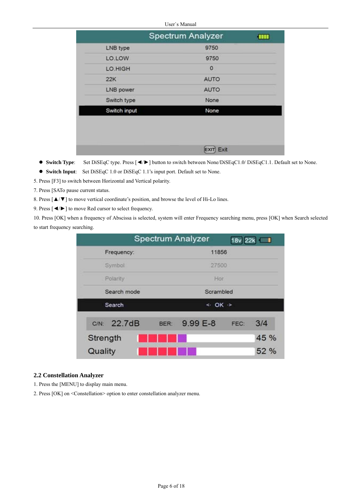|              | <b>Spectrum Analyzer</b> | ш |
|--------------|--------------------------|---|
| LNB type     | 9750                     |   |
| LO.LOW       | 9750                     |   |
| LO.HIGH      | $\mathbf{0}$             |   |
| 22K          | <b>AUTO</b>              |   |
| LNB power    | <b>AUTO</b>              |   |
| Switch type  | None                     |   |
| Switch input | None                     |   |
|              |                          |   |
|              |                          |   |
|              | Exit                     |   |

- z **Switch Type**: Set DiSEqC type. Press [◄/►] button to switch between None/DiSEqC1.0/ DiSEqC1.1. Default set to None.
- z **Switch Input**: Set DiSEqC 1.0 or DiSEqC 1.1's input port. Default set to None.
- 5. Press [F3] to switch between Horizontal and Vertical polarity.
- 7. Press [SATo pause current status.
- 8. Press [▲/▼] to move vertical coordinate's position, and browse the level of Hi-Lo lines.
- 9. Press [◄/►] to move Red cursor to select frequency.

10. Press [OK] when a frequency of Abscissa is selected, system will enter Frequency searching menu, press [OK] when Search selected to start frequency searching.

|             | <b>Spectrum Analyzer</b> | 18v 22k                       |
|-------------|--------------------------|-------------------------------|
| Frequency:  |                          | 11856                         |
| Symbol      |                          | 27500                         |
| Polarity    |                          | Hor                           |
| Search mode |                          | Scrambled                     |
| Search      |                          | $\leftarrow$ OK $\rightarrow$ |
| C/N: 22.7dB | 9.99 E-8<br>BER:         | 3/4<br>FEC:                   |
| Strength    |                          | 45 %                          |
| Quality     |                          | 52 %                          |

## **2.2 Constellation Analyzer**

- 1. Press the [MENU] to display main menu.
- 2. Press [OK] on <Constellation> option to enter constellation analyzer menu.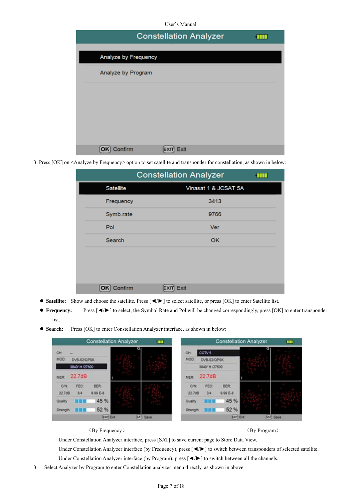|                      | <b>Constellation Analyzer</b> |  |
|----------------------|-------------------------------|--|
| Analyze by Frequency |                               |  |
|                      |                               |  |
| Analyze by Program   |                               |  |
|                      |                               |  |
|                      |                               |  |
|                      |                               |  |
|                      |                               |  |
| ıfirm                | Exit                          |  |

3. Press [OK] on <Analyze by Frequency> option to set satellite and transponder for constellation, as shown in below:

|                  | <b>Constellation Analyzer</b> | a ma |
|------------------|-------------------------------|------|
| <b>Satellite</b> | Vinasat 1 & JCSAT 5A          |      |
| Frequency        | 3413                          |      |
| Symb.rate        | 9766                          |      |
| Pol              | Ver                           |      |
| Search           | OK                            |      |
|                  |                               |      |
|                  |                               |      |
|                  |                               |      |
| Confirm          | Exit                          |      |

- z **Satellite:** Show and choose the satellite. Press [◄/►] to select satellite, or press [OK] to enter Satellite list.
- z **Frequency:** Press [◄/►] to select, the Symbol Rate and Pol will be changed correspondingly, press [OK] to enter transponder list.
- Search: Press [OK] to enter Constellation Analyzer interface, as shown in below:

|                                      |                                              |                                         | <b>Constellation Analyzer</b> | m        |                                      |                                                   |                                       | <b>Constellation Analyzer</b> | m        |
|--------------------------------------|----------------------------------------------|-----------------------------------------|-------------------------------|----------|--------------------------------------|---------------------------------------------------|---------------------------------------|-------------------------------|----------|
| CH<br>MOD:<br><b>MER:</b>            | ÷<br>DVB-S2/QPSK<br>3840/ H /27500<br>22.7dB |                                         |                               |          | CH<br>MOD:<br><b>MER</b>             | CCTV 5<br>DVB-S2/QPSK<br>3840/ H /27500<br>22.7dB |                                       |                               |          |
| CIN<br>22.7dB<br>Quality<br>Strength | FEC:<br>3/4                                  | <b>BER</b><br>9.99 E-8.<br>45 %<br>52 % |                               |          | C/N<br>22.768<br>Quality<br>Strength | FEC:<br>3/4                                       | <b>BER</b><br>999 E-8<br>45 %<br>52 % |                               |          |
|                                      |                                              | <b>KXP Ext</b>                          |                               | SAT Save |                                      |                                                   | KNT Ext.                              |                               | SAT Save |

(By Frequency) (By Program)

Under Constellation Analyzer interface, press [SAT] to save current page to Store Data View.

Under Constellation Analyzer interface (by Frequency), press [◄/►] to switch between transponders of selected satellite.

- Under Constellation Analyzer interface (by Program), press [◄/►] to switch between all the channels.
- 3. Select Analyzer by Program to enter Constellation analyzer menu directly, as shown in above: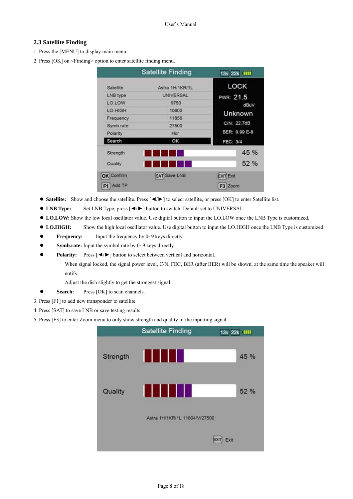# **2.3 Satellite Finding**

1. Press the [MENU] to display main menu.

2. Press [OK] on <Finding> option to enter satellite finding menu.

|                  | <b>Satellite Finding</b> | 13v 22k IIII  |
|------------------|--------------------------|---------------|
| <b>Satellite</b> | Astra 1H/1KR/1L          | <b>LOCK</b>   |
| LNB type         | <b>UNIVERSAL</b>         | PWR: 21.5     |
| LO.LOW           | 9750                     | dBuV          |
| LO.HIGH          | 10600                    | Unknown       |
| Frequency        | 11856                    |               |
| Symb.rate        | 27500                    | C/N: 22.7dB   |
| Polarity         | Hor                      | BER: 9.99 E-8 |
| Search           | ок                       | FEC: 3/4      |
| Strength         |                          | 45 %          |
| Quality          |                          | 52 %          |
| OK Confirm       | SAT Save LNB             | EXIT Exit     |
| Add TP<br>F1     |                          | F3 Zoom       |

- z **Satellite:** Show and choose the satellite. Press [◄/►] to select satellite, or press [OK] to enter Satellite list.
- z **LNB Type:** Set LNB Type, press [◄/►] button to switch. Default set to UNIVERSAL.
- $\bullet$  LO.LOW: Show the low local oscillator value. Use digital button to input the LO.LOW once the LNB Type is customized.
- $\bullet$  LO.HIGH: Show the high local oscillator value. Use digital button to input the LO.HIGH once the LNB Type is customized.
- **Frequency:** Input the frequency by 0~9 keys directly.
- **Symb.rate:** Input the symbol rate by 0~9 keys directly.
- **Polarity:** Press [◀/►] button to select between vertical and horizontal.

When signal locked, the signal power level, C/N, FEC, BER (after BER) will be shown, at the same time the speaker will notify.

Adjust the dish slightly to get the strongest signal.

- **Search:** Press [OK] to scan channels.
- 3. Press [F1] to add new transponder to satellite
- 4. Press [SAT] to save LNB or save testing results
- 5. Press [F3] to enter Zoom menu to only show strength and quality of the inputting signal

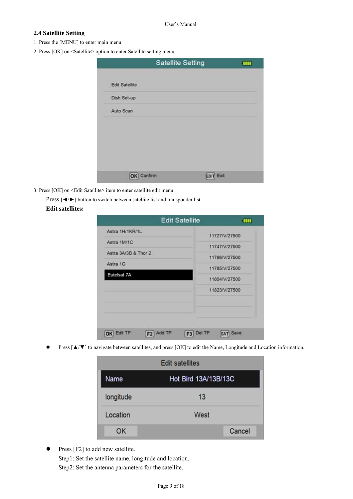# **2.4 Satellite Setting**

- 1. Press the [MENU] to enter main menu
- 2. Press [OK] on <Satellite> option to enter Satellite setting menu.

|                       | <b>Satellite Setting</b> | ŢШ |
|-----------------------|--------------------------|----|
| <b>Edit Satellite</b> |                          |    |
| Dish Set-up           |                          |    |
| Auto Scan             |                          |    |
|                       |                          |    |
|                       |                          |    |
|                       |                          |    |
|                       |                          |    |
| Confirm<br>OK         | Exit                     |    |

- 3. Press [OK] on <Edit Satellite> item to enter satellite edit menu.
	- Press [◀/►] button to switch between satellite list and transponder list.

#### **Edit satellites:**

|                           | <b>Edit Satellite</b>              | шı            |
|---------------------------|------------------------------------|---------------|
| Astra 1H/1KR/1L           |                                    | 11727/V/27500 |
| Astra 1M/1C               |                                    | 11747/V/27500 |
| Astra 3A/3B & Thor 2      |                                    | 11766/V/27500 |
| Astra 1G                  |                                    | 11785/V/27500 |
| Eutelsat 7A               |                                    | 11804/V/27500 |
|                           |                                    | 11823/V/27500 |
|                           |                                    |               |
| Edit TP<br>F <sub>2</sub> | Add TP<br>Del TP<br>F <sub>3</sub> | Save<br>SAT   |

Press [△/▼] to navigate between satellites, and press [OK] to edit the Name, Longitude and Location information.

| <b>Edit satellites</b> |                      |  |  |
|------------------------|----------------------|--|--|
| Name                   | Hot Bird 13A/13B/13C |  |  |
| longitude              | 13                   |  |  |
| Location               | West                 |  |  |
| ок                     | Cancel               |  |  |

Press [F2] to add new satellite. Step1: Set the satellite name, longitude and location. Step2: Set the antenna parameters for the satellite.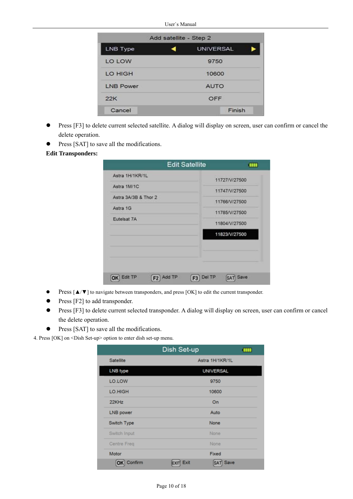| Add satellite - Step 2 |       |                  |  |  |
|------------------------|-------|------------------|--|--|
| <b>LNB Type</b>        |       | <b>UNIVERSAL</b> |  |  |
| LO LOW                 |       | 9750             |  |  |
| LO HIGH                | 10600 |                  |  |  |
| <b>LNB Power</b>       |       | <b>AUTO</b>      |  |  |
| 22K                    |       | OFF              |  |  |
| Cancel                 |       | Finish           |  |  |

- **•** Press [F3] to delete current selected satellite. A dialog will display on screen, user can confirm or cancel the delete operation.
- Press [SAT] to save all the modifications.

# **Edit Transponders:**

|                      | <b>Edit Satellite</b>  | <b>TITLE</b>  |
|----------------------|------------------------|---------------|
| Astra 1H/1KR/1L      |                        | 11727/V/27500 |
| Astra 1M/1C          |                        | 11747/V/27500 |
| Astra 3A/3B & Thor 2 |                        |               |
| Astra 1G             |                        | 11766/V/27500 |
| Eutelsat 7A          |                        | 11785/V/27500 |
|                      |                        | 11804/V/27500 |
|                      |                        | 11823/V/27500 |
|                      |                        |               |
| Edit TP<br>F2        | Del TP<br>Add TP<br>F3 | Save          |

- z Press [▲/▼] to navigate between transponders, and press [OK] to edit the current transponder.
- $\bullet$  Press [F2] to add transponder.
- Press [F3] to delete current selected transponder. A dialog will display on screen, user can confirm or cancel the delete operation.
- Press [SAT] to save all the modifications.

4. Press [OK] on <Dish Set-up> option to enter dish set-up menu.

|                  | Dish Set-up      | <b>TITLE</b> |  |
|------------------|------------------|--------------|--|
| Satellite        | Astra 1H/1KR/1L  |              |  |
| <b>LNB</b> type  | <b>UNIVERSAL</b> |              |  |
| LO.LOW           | 9750             |              |  |
| LO.HIGH          | 10600            |              |  |
| 22KHz            | On               |              |  |
| <b>LNB</b> power | Auto             |              |  |
| Switch Type      | None             |              |  |
| Switch Input     | None             |              |  |
| Centre Freq      | None             |              |  |
| Motor            | Fixed            |              |  |
| Confirm<br>ОК    | Exit<br>Save     |              |  |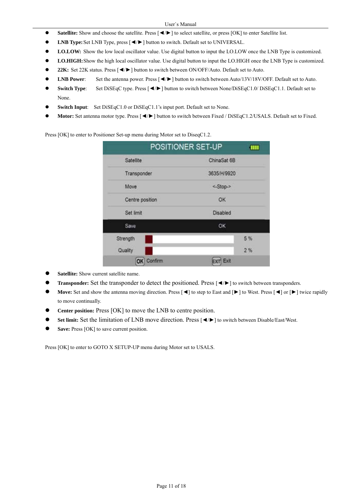- **• Satellite:** Show and choose the satellite. Press  $\Box$  **i** to select satellite, or press [OK] to enter Satellite list.
- LNB Type: Set LNB Type, press [◀/▶] button to switch. Default set to UNIVERSAL.
- LO.LOW: Show the low local oscillator value. Use digital button to input the LO.LOW once the LNB Type is customized.
- LO.HIGH: Show the high local oscillator value. Use digital button to input the LO.HIGH once the LNB Type is customized.
- z **22K:** Set 22K status. Press [◄/►] button to switch between ON/OFF/Auto. Default set to Auto.
- **LNB Power:** Set the antenna power. Press [◀/►] button to switch between Auto/13V/18V/OFF. Default set to Auto.
- z **Switch Type**: Set DiSEqC type. Press [◄/►] button to switch between None/DiSEqC1.0/ DiSEqC1.1. Default set to None.
- **Switch Input**: Set DiSEqC1.0 or DiSEqC1.1's input port. Default set to None.
- Motor: Set antenna motor type. Press [◀/►] button to switch between Fixed / DiSEqC1.2/USALS. Default set to Fixed.

Press [OK] to enter to Positioner Set-up menu during Motor set to DiseqC1.2.

|                 | POSITIONER SET-UP<br>Ш |  |
|-----------------|------------------------|--|
| Satellite       | ChinaSat 6B            |  |
| Transponder     | 3635/H/9920            |  |
| Move            | <-Stop->               |  |
| Centre position | OK                     |  |
| Set limit       | Disabled               |  |
| Save            | OK                     |  |
| Strength        | 5%                     |  |
| Quality         | 2%                     |  |
| Confirm<br>OK   | Exit                   |  |

- Satellite: Show current satellite name.
- z **Transponder:** Set the transponder to detect the positioned. Press [◄/►] to switch between transponders.
- **Move:** Set and show the antenna moving direction. Press [◄] to step to East and [▶] to West. Press [◄] or [▶] twice rapidly to move continually.
- Center position: Press [OK] to move the LNB to centre position.
- Set limit: Set the limitation of LNB move direction. Press [◀/►] to switch between Disable/East/West.
- Save: Press [OK] to save current position.

Press [OK] to enter to GOTO X SETUP-UP menu during Motor set to USALS.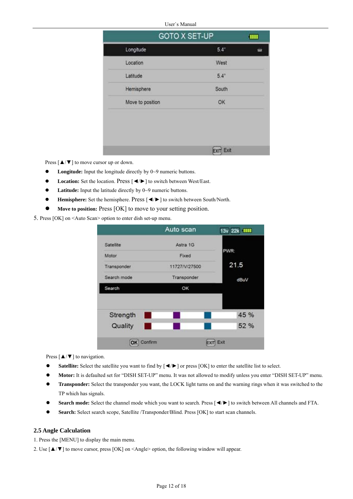| GOTO X SET-UP    |               | m |
|------------------|---------------|---|
| Longitude        | $5.4^\circ$   |   |
| Location         | West          |   |
| Latitude         | $5.4^{\circ}$ |   |
| Hemisphere       | South         |   |
| Move to position | OK            |   |
|                  |               |   |
|                  | EXIT Exit     |   |

Press  $\left[\right.\rightleftharpoons$   $\left[\right.\rightleftharpoons$   $\left[\right.\rightleftharpoons$   $\left[\right.\rightleftharpoons$   $\left[\right.\rightleftharpoons$   $\left[\right.\rightleftharpoons$   $\left[\right.\rightleftharpoons$   $\left[\right.\rightleftharpoons$   $\left[\right.\rightleftharpoons$   $\left[\right.\rightleftharpoons$   $\left[\right.\rightleftharpoons$   $\left[\right.\rightleftharpoons$   $\left[\right.\rightleftharpoons$   $\left[\right.\rightleftharpoons$   $\left[\right.\rightleftharpoons$   $\left[\right.\rightleftharpoons$   $\left[\right.\right$ 

- **•** Longitude: Input the longitude directly by 0~9 numeric buttons.
- z **Location:** Set the location. Press [◄/►] to switch between West/East.
- Latitude: Input the latitude directly by 0~9 numeric buttons.
- **Hemisphere:** Set the hemisphere. Press [◀/►] to switch between South/North.
- Move to position: Press [OK] to move to your setting position.

5. Press [OK] on <Auto Scan> option to enter dish set-up menu.

|               | Auto scan     | $\mathbf{m}$<br>13v 22k |
|---------------|---------------|-------------------------|
| Satellite     | Astra 1G      |                         |
| Motor         | Fixed         | PWR:                    |
| Transponder   | 11727/V/27500 | 21.5                    |
| Search mode   | Transponder   | dBuV                    |
| Search        | OK            |                         |
|               |               | 45 %                    |
| Strength<br>ш |               |                         |
| Quality       |               | 52 %                    |
| Confirm<br>OK |               | Exit                    |

Press  $[\triangle/\blacktriangledown]$  to navigation.

- **■** Satellite: Select the satellite you want to find by  $[$  ◀/► ] or press [OK] to enter the satellite list to select.
- z **Motor:** It is defaulted set for "DISH SET-UP" menu. It was not allowed to modify unless you enter "DISH SET-UP" menu.
- z **Transponder:** Select the transponder you want, the LOCK light turns on and the warning rings when it was switched to the TP which has signals.
- Search mode: Select the channel mode which you want to search. Press [◀/►] to switch between All channels and FTA.
- Search: Select search scope, Satellite /Transponder/Blind. Press [OK] to start scan channels.

#### **2.5 Angle Calculation**

1. Press the [MENU] to display the main menu.

2. Use [▲/▼] to move cursor, press [OK] on <Angle> option, the following window will appear.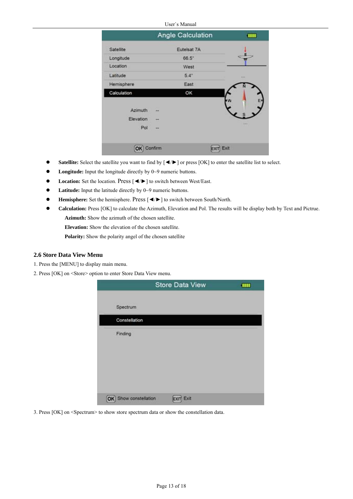|  | User`s Manual |
|--|---------------|
|  |               |

|                      | Angle Calculation | ш              |
|----------------------|-------------------|----------------|
| Satellite            | Eutelsat 7A       |                |
| Longitude            | $66.5^{\circ}$    |                |
| Location             | West              |                |
| Latitude             | $5.4^\circ$       | <b>Kink In</b> |
| Hemisphere           | East              |                |
| Calculation          | OK                |                |
| Azimuth<br>Elevation | --                |                |
| Pol                  | --                | 999            |
| OK                   | Confirm           | Exit           |

- **●** Satellite: Select the satellite you want to find by  $[ \blacktriangleleft \blacktriangleright ]$  or press [OK] to enter the satellite list to select.
- **•** Longitude: Input the longitude directly by 0~9 numeric buttons.
- z **Location:** Set the location. Press [◄/►] to switch between West/East.
- **•** Latitude: Input the latitude directly by 0~9 numeric buttons.
- z **Hemisphere:** Set the hemisphere. Press [◄/►] to switch between South/North.
- z **Calculation:** Press [OK] to calculate the Azimuth, Elevation and Pol. The results will be display both by Text and Pictrue. **Azimuth:** Show the azimuth of the chosen satellite.

**Elevation:** Show the elevation of the chosen satellite.

**Polarity:** Show the polarity angel of the chosen satellite

#### **2.6 Store Data View Menu**

- 1. Press the [MENU] to display main menu.
- 2. Press [OK] on <Store> option to enter Store Data View menu.

|                          | <b>Store Data View</b> | ш |
|--------------------------|------------------------|---|
| Spectrum                 |                        |   |
| Constellation            |                        |   |
| Finding                  |                        |   |
|                          |                        |   |
|                          |                        |   |
|                          |                        |   |
| Show constellation<br>OK | Exit                   |   |

3. Press [OK] on <Spectrum> to show store spectrum data or show the constellation data.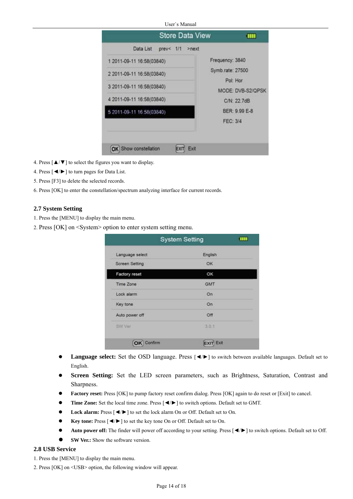|  | User`s Manual |
|--|---------------|
|  |               |

| Data List<br>$prev < 1/1$ >next |                   |
|---------------------------------|-------------------|
| 1 2011-09-11 16:58(03840)       | Frequency: 3840   |
| 2 2011-09-11 16:58(03840)       | Symb.rate: 27500  |
|                                 | Pol: Hor          |
| 3 2011-09-11 16:58(03840)       | MODE: DVB-S2/QPSK |
| 4 2011-09-11 16:58(03840)       | C/N: 22.7dB       |
| 5 2011-09-11 16 58(03840)       | BER: 9.99 E-8     |
|                                 | <b>FEC: 3/4</b>   |

- 4. Press [▲/▼] to select the figures you want to display.
- 4. Press [◄/►] to turn pages for Data List.
- 5. Press [F3] to delete the selected records.
- 6. Press [OK] to enter the constellation/spectrum analyzing interface for current records.

#### **2.7 System Setting**

- 1. Press the [MENU] to display the main menu.
- 2. Press [OK] on <System> option to enter system setting menu.

|                 | <b>System Setting</b><br><b>TILL</b> |  |
|-----------------|--------------------------------------|--|
| Language select | English                              |  |
| Screen Setting  | OK.                                  |  |
| Factory reset   | OK                                   |  |
| Time Zone       | <b>GMT</b>                           |  |
| Lock alarm      | On                                   |  |
| Key tone        | On                                   |  |
| Auto power off  | Off                                  |  |
| SW Ver          | 3.0.1                                |  |
| <b>Confirm</b>  | Exit                                 |  |

- Language select: Set the OSD language. Press [◀/►] to switch between available languages. Default set to English.
- Screen Setting: Set the LED screen parameters, such as Brightness, Saturation, Contrast and Sharpness.
- Factory reset: Press [OK] to pump factory reset confirm dialog. Press [OK] again to do reset or [Exit] to cancel.
- Time Zone: Set the local time zone. Press [◀/►] to switch options. Default set to GMT.
- Lock alarm: Press  $\left[ \blacktriangleleft / \blacktriangleright \right]$  to set the lock alarm On or Off. Default set to On.
- z **Key tone:** Press [◄/►] to set the key tone On or Off. Default set to On.
- Auto power off: The finder will power off according to your setting. Press [◀/►] to switch options. Default set to Off.
- **SW Ver.:** Show the software version

## **2.8 USB Service**

- 1. Press the [MENU] to display the main menu.
- 2. Press [OK] on <USB> option, the following window will appear.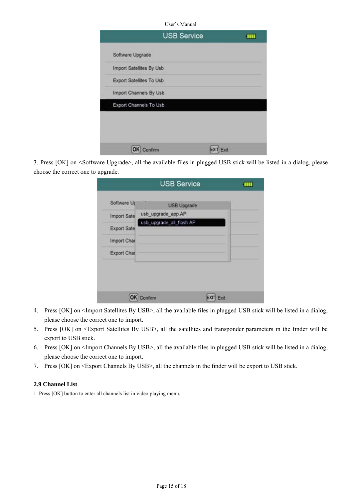|                          | <b>USB Service</b> | Ш |
|--------------------------|--------------------|---|
| Software Upgrade         |                    |   |
| Import Satellites By Usb |                    |   |
| Export Satellites To Usb |                    |   |
| Import Channels By Usb   |                    |   |
| Export Channels To Usb   |                    |   |

3. Press [OK] on <Software Upgrade>, all the available files in plugged USB stick will be listed in a dialog, please choose the correct one to upgrade.

|                    | <b>USB Service</b>       | ш    |
|--------------------|--------------------------|------|
| Software Up        | <b>USB Upgrade</b>       |      |
| <b>Import Sate</b> | usb_upgrade_app.AP       |      |
| <b>Export Sate</b> | usb_upgrade_all_flash.AP |      |
| Import Char        |                          |      |
| Export Char        |                          |      |
|                    |                          |      |
|                    | Confirm                  | Exit |

- 4. Press [OK] on <Import Satellites By USB>, all the available files in plugged USB stick will be listed in a dialog, please choose the correct one to import.
- 5. Press [OK] on <Export Satellites By USB>, all the satellites and transponder parameters in the finder will be export to USB stick.
- 6. Press [OK] on <Import Channels By USB>, all the available files in plugged USB stick will be listed in a dialog, please choose the correct one to import.
- 7. Press [OK] on <Export Channels By USB>, all the channels in the finder will be export to USB stick.

# **2.9 Channel List**

1. Press [OK] button to enter all channels list in video playing menu.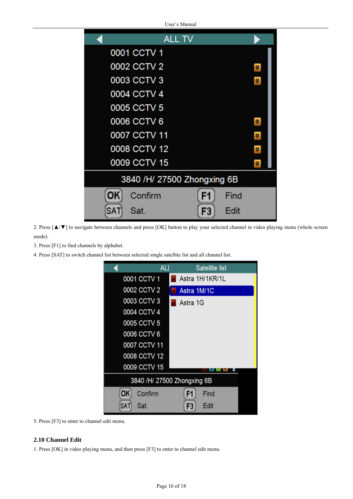| <b>ALL TV</b>               |      |  |  |  |
|-----------------------------|------|--|--|--|
| 0001 CCTV 1                 |      |  |  |  |
| 0002 CCTV 2                 | 羊    |  |  |  |
| 0003 CCTV 3                 | 羊    |  |  |  |
| 0004 CCTV 4                 |      |  |  |  |
| 0005 CCTV 5                 |      |  |  |  |
| 0006 CCTV 6                 | 羊    |  |  |  |
| 0007 CCTV 11                | 羊    |  |  |  |
| 0008 CCTV 12                | 羊    |  |  |  |
| 0009 CCTV 15                | ¥    |  |  |  |
| 3840 /H/ 27500 Zhongxing 6B |      |  |  |  |
| ОК<br>Confirm<br>F1         | Find |  |  |  |
| SA1<br>F3<br>Sat.           | Edit |  |  |  |

2. Press [▲/▼] to navigate between channels and press [OK] button to play your selected channel in video playing menu (whole screen mode).

- 3. Press [F1] to find channels by alphabet.
- 4. Press [SAT] to switch channel list between selected single satellite list and all channel list.



5. Press [F3] to enter to channel edit menu.

# **2.10 Channel Edit**

1. Press [OK] in video playing menu, and then press [F3] to enter to channel edit menu.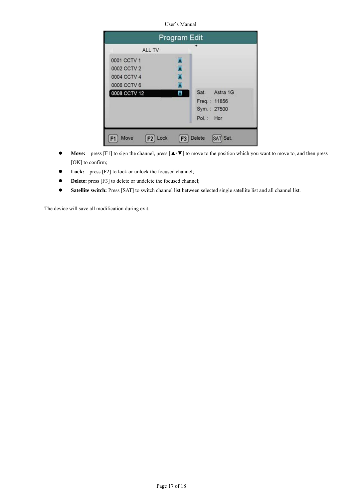|              | Program Edit |                                                              |
|--------------|--------------|--------------------------------------------------------------|
| ALL TV       |              | ۰                                                            |
| 0001 CCTV 1  | B            |                                                              |
| 0002 CCTV 2  | B            |                                                              |
| 0004 CCTV 4  | E            |                                                              |
| 0006 CCTV 6  | B            |                                                              |
| 0008 CCTV 12 | A            | Sat.<br>Astra 1G<br>Freq.: 11856<br>Sym.: 27500<br>Pol.: Hor |

- z **Move:** press [F1] to sign the channel, press [▲/▼] to move to the position which you want to move to, and then press [OK] to confirm;
- Lock: press [F2] to lock or unlock the focused channel;
- **•** Delete: press [F3] to delete or undelete the focused channel;
- **•** Satellite switch: Press [SAT] to switch channel list between selected single satellite list and all channel list.

The device will save all modification during exit.